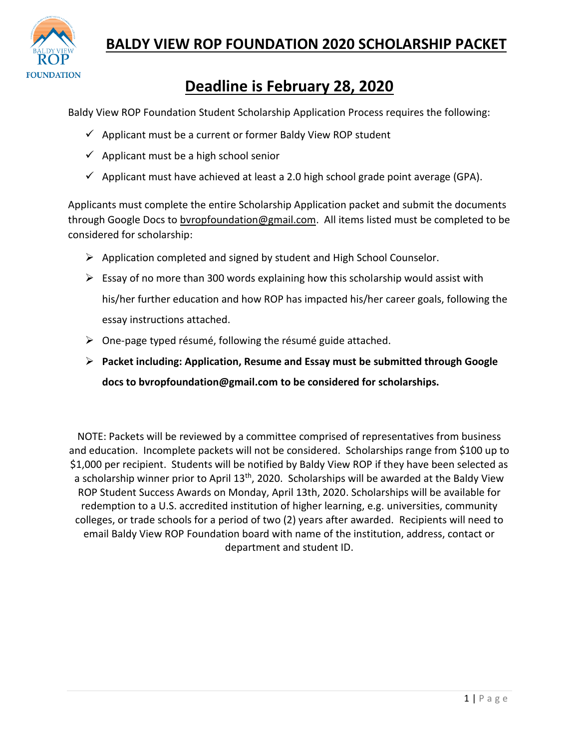

#### **BALDY VIEW ROP FOUNDATION 2020 SCHOLARSHIP PACKET**

## **Deadline is February 28, 2020**

Baldy View ROP Foundation Student Scholarship Application Process requires the following:

- ✓ Applicant must be a current or former Baldy View ROP student
- $\checkmark$  Applicant must be a high school senior
- $\checkmark$  Applicant must have achieved at least a 2.0 high school grade point average (GPA).

Applicants must complete the entire Scholarship Application packet and submit the documents through Google Docs to [bvropfoundation@gmail.com.](mailto:bvropfoundation@gmail.com) All items listed must be completed to be considered for scholarship:

- ➢ Application completed and signed by student and High School Counselor.
- $\triangleright$  Essay of no more than 300 words explaining how this scholarship would assist with his/her further education and how ROP has impacted his/her career goals, following the essay instructions attached.
- $\triangleright$  One-page typed résumé, following the résumé guide attached.
- ➢ **Packet including: Application, Resume and Essay must be submitted through Google docs t[o bvropfoundation@gmail.com](mailto:bvropfoundation@gmail.com) to be considered for scholarships.**

NOTE: Packets will be reviewed by a committee comprised of representatives from business and education. Incomplete packets will not be considered. Scholarships range from \$100 up to \$1,000 per recipient. Students will be notified by Baldy View ROP if they have been selected as a scholarship winner prior to April 13<sup>th</sup>, 2020. Scholarships will be awarded at the Baldy View ROP Student Success Awards on Monday, April 13th, 2020. Scholarships will be available for redemption to a U.S. accredited institution of higher learning, e.g. universities, community colleges, or trade schools for a period of two (2) years after awarded. Recipients will need to email Baldy View ROP Foundation board with name of the institution, address, contact or department and student ID.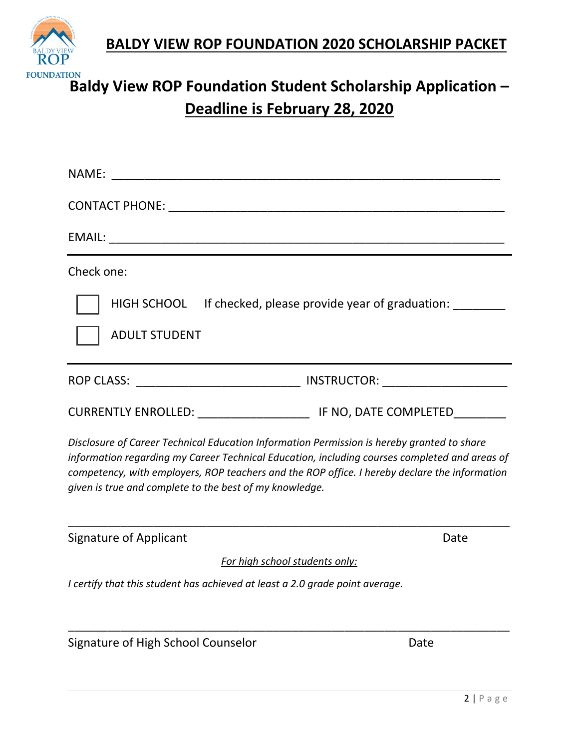**BALDY VIEW ROP FOUNDATION 2020 SCHOLARSHIP PACKET**



# **Baldy View ROP Foundation Student Scholarship Application – Baldy View ROP Foundation Student Scholarship Application Deadline is February 28, 2020**

| Check one:                                                                                                                                                                                                                                                                                                                                              |      |
|---------------------------------------------------------------------------------------------------------------------------------------------------------------------------------------------------------------------------------------------------------------------------------------------------------------------------------------------------------|------|
| HIGH SCHOOL If checked, please provide year of graduation:<br><b>ADULT STUDENT</b>                                                                                                                                                                                                                                                                      |      |
|                                                                                                                                                                                                                                                                                                                                                         |      |
|                                                                                                                                                                                                                                                                                                                                                         |      |
| Disclosure of Career Technical Education Information Permission is hereby granted to share<br>information regarding my Career Technical Education, including courses completed and areas of<br>competency, with employers, ROP teachers and the ROP office. I hereby declare the information<br>given is true and complete to the best of my knowledge. |      |
| <b>Signature of Applicant</b>                                                                                                                                                                                                                                                                                                                           | Date |
| For high school students only:                                                                                                                                                                                                                                                                                                                          |      |
| I certify that this student has achieved at least a 2.0 grade point average.                                                                                                                                                                                                                                                                            |      |
| Signature of High School Counselor                                                                                                                                                                                                                                                                                                                      | Date |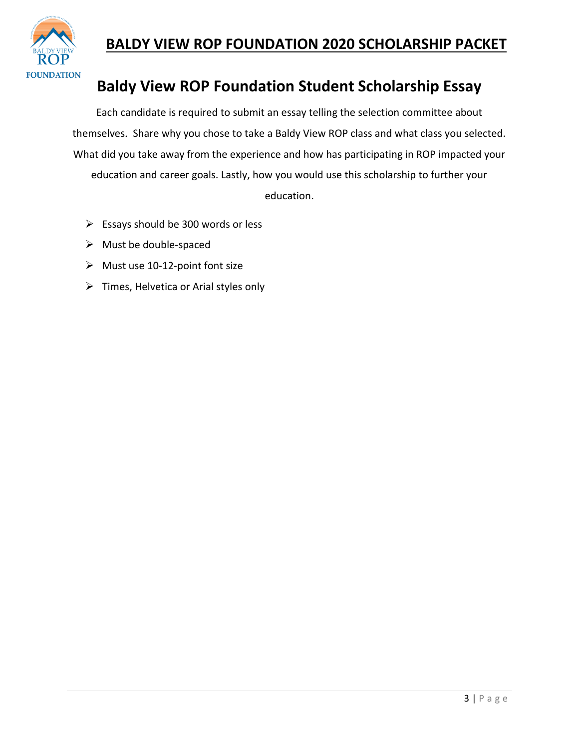

#### **BALDY VIEW ROP FOUNDATION 2020 SCHOLARSHIP PACKET**

## **Baldy View ROP Foundation Student Scholarship Essay**

Each candidate is required to submit an essay telling the selection committee about themselves. Share why you chose to take a Baldy View ROP class and what class you selected. What did you take away from the experience and how has participating in ROP impacted your education and career goals. Lastly, how you would use this scholarship to further your education.

- $\triangleright$  Essays should be 300 words or less
- ➢ Must be double-spaced
- $\triangleright$  Must use 10-12-point font size
- $\triangleright$  Times, Helvetica or Arial styles only